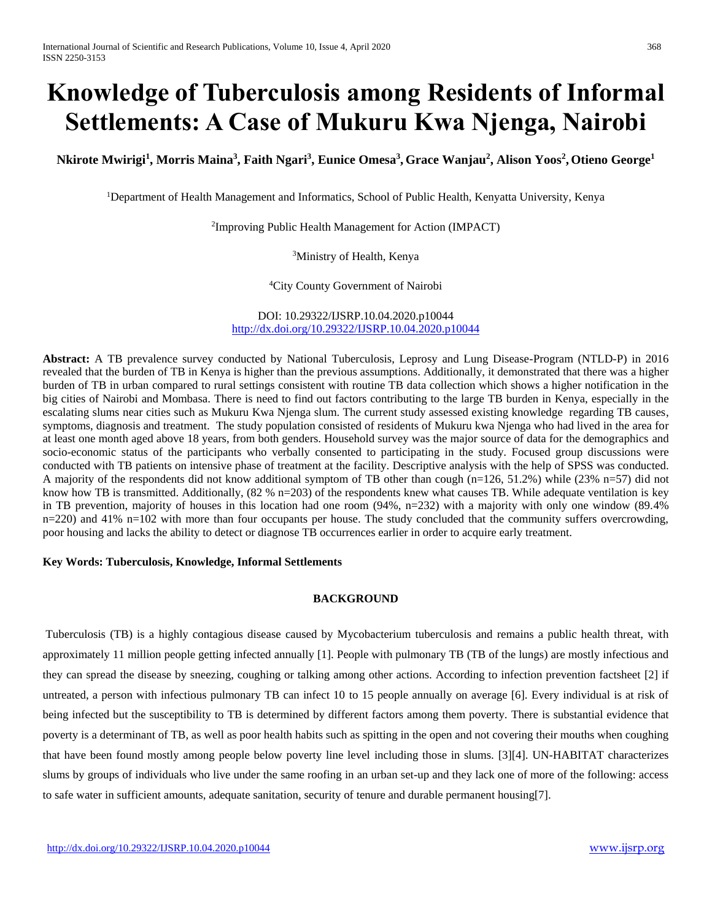# **Knowledge of Tuberculosis among Residents of Informal Settlements: A Case of Mukuru Kwa Njenga, Nairobi**

**Nkirote Mwirigi<sup>1</sup> , Morris Maina<sup>3</sup> , Faith Ngari<sup>3</sup> , Eunice Omesa<sup>3</sup> , Grace Wanjau<sup>2</sup> , Alison Yoos<sup>2</sup> , Otieno George<sup>1</sup>**

<sup>1</sup>Department of Health Management and Informatics, School of Public Health, Kenyatta University, Kenya

2 Improving Public Health Management for Action (IMPACT)

<sup>3</sup>Ministry of Health, Kenya

<sup>4</sup>City County Government of Nairobi

DOI: 10.29322/IJSRP.10.04.2020.p10044 <http://dx.doi.org/10.29322/IJSRP.10.04.2020.p10044>

**Abstract:** A TB prevalence survey conducted by National Tuberculosis, Leprosy and Lung Disease-Program (NTLD-P) in 2016 revealed that the burden of TB in Kenya is higher than the previous assumptions. Additionally, it demonstrated that there was a higher burden of TB in urban compared to rural settings consistent with routine TB data collection which shows a higher notification in the big cities of Nairobi and Mombasa. There is need to find out factors contributing to the large TB burden in Kenya, especially in the escalating slums near cities such as Mukuru Kwa Njenga slum. The current study assessed existing knowledge regarding TB causes, symptoms, diagnosis and treatment. The study population consisted of residents of Mukuru kwa Njenga who had lived in the area for at least one month aged above 18 years, from both genders. Household survey was the major source of data for the demographics and socio-economic status of the participants who verbally consented to participating in the study. Focused group discussions were conducted with TB patients on intensive phase of treatment at the facility. Descriptive analysis with the help of SPSS was conducted. A majority of the respondents did not know additional symptom of TB other than cough (n=126, 51.2%) while (23% n=57) did not know how TB is transmitted. Additionally, (82 % n=203) of the respondents knew what causes TB. While adequate ventilation is key in TB prevention, majority of houses in this location had one room (94%, n=232) with a majority with only one window (89.4% n=220) and 41% n=102 with more than four occupants per house. The study concluded that the community suffers overcrowding, poor housing and lacks the ability to detect or diagnose TB occurrences earlier in order to acquire early treatment.

# **Key Words: Tuberculosis, Knowledge, Informal Settlements**

# **BACKGROUND**

Tuberculosis (TB) is a highly contagious disease caused by Mycobacterium tuberculosis and remains a public health threat, with approximately 11 million people getting infected annually [1]. People with pulmonary TB (TB of the lungs) are mostly infectious and they can spread the disease by sneezing, coughing or talking among other actions. According to infection prevention factsheet [2] if untreated, a person with infectious pulmonary TB can infect 10 to 15 people annually on average [6]. Every individual is at risk of being infected but the susceptibility to TB is determined by different factors among them poverty. There is substantial evidence that poverty is a determinant of TB, as well as poor health habits such as spitting in the open and not covering their mouths when coughing that have been found mostly among people below poverty line level including those in slums. [3][4]. UN-HABITAT characterizes slums by groups of individuals who live under the same roofing in an urban set-up and they lack one of more of the following: access to safe water in sufficient amounts, adequate sanitation, security of tenure and durable permanent housing[7].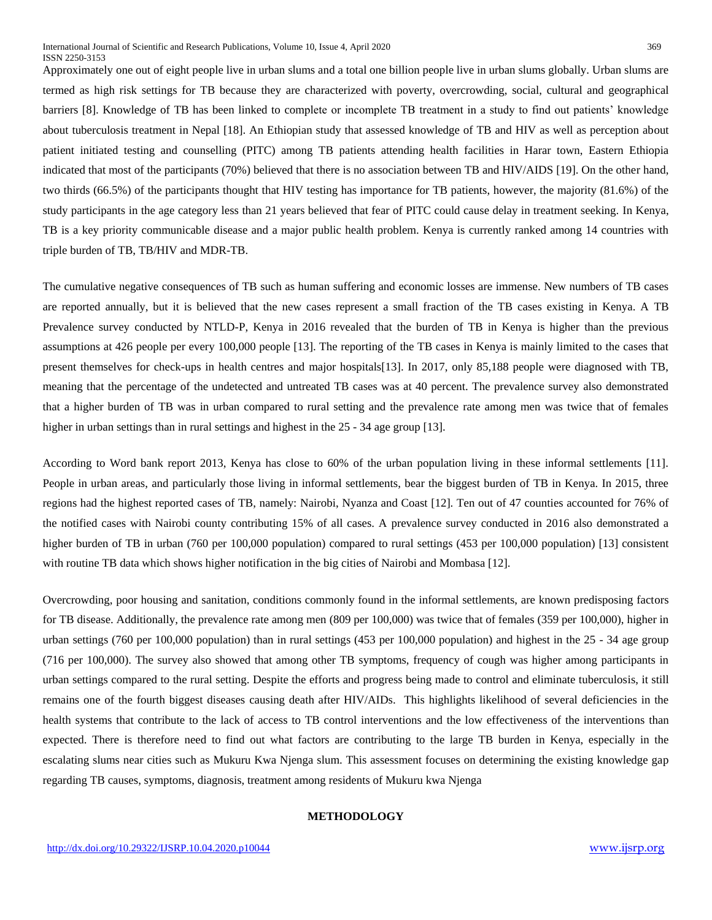Approximately one out of eight people live in urban slums and a total one billion people live in urban slums globally. Urban slums are termed as high risk settings for TB because they are characterized with poverty, overcrowding, social, cultural and geographical barriers [8]. Knowledge of TB has been linked to complete or incomplete TB treatment in a study to find out patients' knowledge about tuberculosis treatment in Nepal [18]. An Ethiopian study that assessed knowledge of TB and HIV as well as perception about patient initiated testing and counselling (PITC) among TB patients attending health facilities in Harar town, Eastern Ethiopia indicated that most of the participants (70%) believed that there is no association between TB and HIV/AIDS [19]. On the other hand, two thirds (66.5%) of the participants thought that HIV testing has importance for TB patients, however, the majority (81.6%) of the study participants in the age category less than 21 years believed that fear of PITC could cause delay in treatment seeking. In Kenya, TB is a key priority communicable disease and a major public health problem. Kenya is currently ranked among 14 countries with triple burden of TB, TB/HIV and MDR-TB.

The cumulative negative consequences of TB such as human suffering and economic losses are immense. New numbers of TB cases are reported annually, but it is believed that the new cases represent a small fraction of the TB cases existing in Kenya. A TB Prevalence survey conducted by NTLD-P, Kenya in 2016 revealed that the burden of TB in Kenya is higher than the previous assumptions at 426 people per every 100,000 people [13]. The reporting of the TB cases in Kenya is mainly limited to the cases that present themselves for check-ups in health centres and major hospitals[13]. In 2017, only 85,188 people were diagnosed with TB, meaning that the percentage of the undetected and untreated TB cases was at 40 percent. The prevalence survey also demonstrated that a higher burden of TB was in urban compared to rural setting and the prevalence rate among men was twice that of females higher in urban settings than in rural settings and highest in the 25 - 34 age group [13].

According to Word bank report 2013, Kenya has close to 60% of the urban population living in these informal settlements [11]. People in urban areas, and particularly those living in informal settlements, bear the biggest burden of TB in Kenya. In 2015, three regions had the highest reported cases of TB, namely: Nairobi, Nyanza and Coast [12]. Ten out of 47 counties accounted for 76% of the notified cases with Nairobi county contributing 15% of all cases. A prevalence survey conducted in 2016 also demonstrated a higher burden of TB in urban (760 per 100,000 population) compared to rural settings (453 per 100,000 population) [13] consistent with routine TB data which shows higher notification in the big cities of Nairobi and Mombasa [12].

Overcrowding, poor housing and sanitation, conditions commonly found in the informal settlements, are known predisposing factors for TB disease. Additionally, the prevalence rate among men (809 per 100,000) was twice that of females (359 per 100,000), higher in urban settings (760 per 100,000 population) than in rural settings (453 per 100,000 population) and highest in the 25 - 34 age group (716 per 100,000). The survey also showed that among other TB symptoms, frequency of cough was higher among participants in urban settings compared to the rural setting. Despite the efforts and progress being made to control and eliminate tuberculosis, it still remains one of the fourth biggest diseases causing death after HIV/AIDs. This highlights likelihood of several deficiencies in the health systems that contribute to the lack of access to TB control interventions and the low effectiveness of the interventions than expected. There is therefore need to find out what factors are contributing to the large TB burden in Kenya, especially in the escalating slums near cities such as Mukuru Kwa Njenga slum. This assessment focuses on determining the existing knowledge gap regarding TB causes, symptoms, diagnosis, treatment among residents of Mukuru kwa Njenga

## **METHODOLOGY**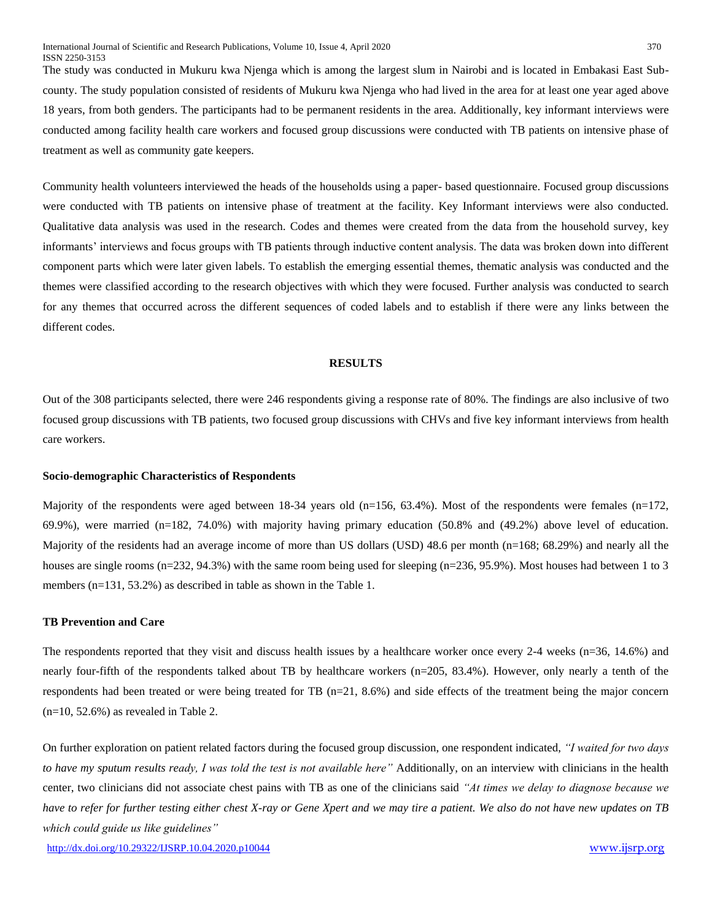The study was conducted in Mukuru kwa Njenga which is among the largest slum in Nairobi and is located in Embakasi East Subcounty. The study population consisted of residents of Mukuru kwa Njenga who had lived in the area for at least one year aged above 18 years, from both genders. The participants had to be permanent residents in the area. Additionally, key informant interviews were conducted among facility health care workers and focused group discussions were conducted with TB patients on intensive phase of treatment as well as community gate keepers.

Community health volunteers interviewed the heads of the households using a paper- based questionnaire. Focused group discussions were conducted with TB patients on intensive phase of treatment at the facility. Key Informant interviews were also conducted. Qualitative data analysis was used in the research. Codes and themes were created from the data from the household survey, key informants' interviews and focus groups with TB patients through inductive content analysis. The data was broken down into different component parts which were later given labels. To establish the emerging essential themes, thematic analysis was conducted and the themes were classified according to the research objectives with which they were focused. Further analysis was conducted to search for any themes that occurred across the different sequences of coded labels and to establish if there were any links between the different codes.

## **RESULTS**

Out of the 308 participants selected, there were 246 respondents giving a response rate of 80%. The findings are also inclusive of two focused group discussions with TB patients, two focused group discussions with CHVs and five key informant interviews from health care workers.

#### **Socio-demographic Characteristics of Respondents**

Majority of the respondents were aged between 18-34 years old  $(n=156, 63.4%)$ . Most of the respondents were females  $(n=172,$ 69.9%), were married (n=182, 74.0%) with majority having primary education (50.8% and (49.2%) above level of education. Majority of the residents had an average income of more than US dollars (USD) 48.6 per month (n=168; 68.29%) and nearly all the houses are single rooms (n=232, 94.3%) with the same room being used for sleeping (n=236, 95.9%). Most houses had between 1 to 3 members (n=131, 53.2%) as described in table as shown in the Table 1.

#### **TB Prevention and Care**

The respondents reported that they visit and discuss health issues by a healthcare worker once every 2-4 weeks (n=36, 14.6%) and nearly four-fifth of the respondents talked about TB by healthcare workers (n=205, 83.4%). However, only nearly a tenth of the respondents had been treated or were being treated for TB (n=21, 8.6%) and side effects of the treatment being the major concern  $(n=10, 52.6\%)$  as revealed in Table 2.

On further exploration on patient related factors during the focused group discussion, one respondent indicated, *"I waited for two days to have my sputum results ready, I was told the test is not available here"* Additionally, on an interview with clinicians in the health center, two clinicians did not associate chest pains with TB as one of the clinicians said *"At times we delay to diagnose because we have to refer for further testing either chest X-ray or Gene Xpert and we may tire a patient. We also do not have new updates on TB which could guide us like guidelines"*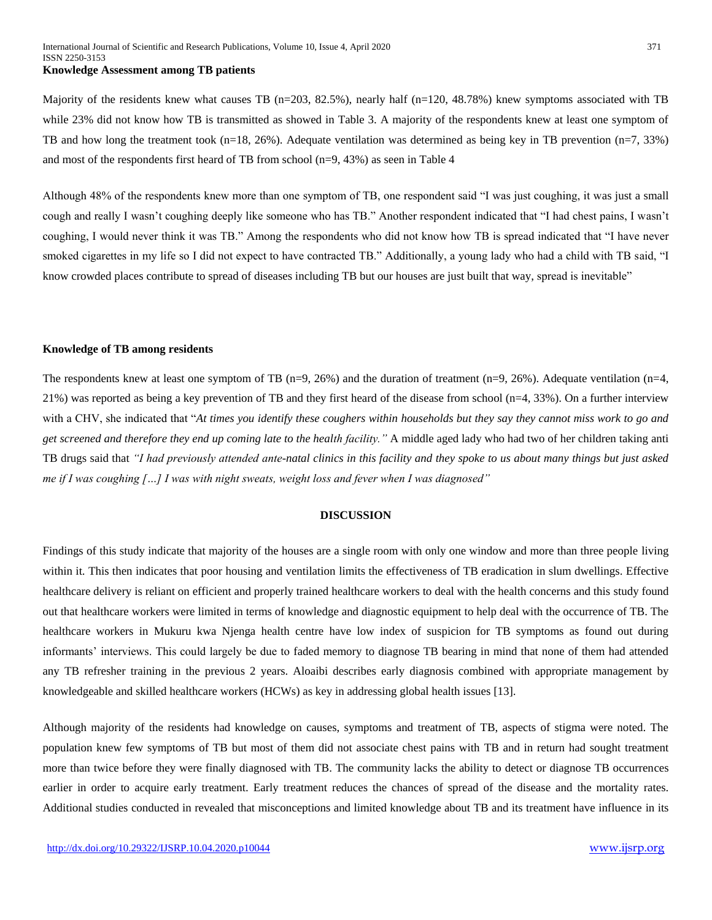#### **Knowledge Assessment among TB patients**

Majority of the residents knew what causes TB (n=203, 82.5%), nearly half (n=120, 48.78%) knew symptoms associated with TB while 23% did not know how TB is transmitted as showed in Table 3. A majority of the respondents knew at least one symptom of TB and how long the treatment took (n=18, 26%). Adequate ventilation was determined as being key in TB prevention (n=7, 33%) and most of the respondents first heard of TB from school (n=9, 43%) as seen in Table 4

Although 48% of the respondents knew more than one symptom of TB, one respondent said "I was just coughing, it was just a small cough and really I wasn't coughing deeply like someone who has TB." Another respondent indicated that "I had chest pains, I wasn't coughing, I would never think it was TB." Among the respondents who did not know how TB is spread indicated that "I have never smoked cigarettes in my life so I did not expect to have contracted TB." Additionally, a young lady who had a child with TB said, "I know crowded places contribute to spread of diseases including TB but our houses are just built that way, spread is inevitable"

#### **Knowledge of TB among residents**

The respondents knew at least one symptom of TB (n=9, 26%) and the duration of treatment (n=9, 26%). Adequate ventilation (n=4, 21%) was reported as being a key prevention of TB and they first heard of the disease from school (n=4, 33%). On a further interview with a CHV, she indicated that "*At times you identify these coughers within households but they say they cannot miss work to go and get screened and therefore they end up coming late to the health facility."* A middle aged lady who had two of her children taking anti TB drugs said that *"I had previously attended ante-natal clinics in this facility and they spoke to us about many things but just asked me if I was coughing […] I was with night sweats, weight loss and fever when I was diagnosed"*

#### **DISCUSSION**

Findings of this study indicate that majority of the houses are a single room with only one window and more than three people living within it. This then indicates that poor housing and ventilation limits the effectiveness of TB eradication in slum dwellings. Effective healthcare delivery is reliant on efficient and properly trained healthcare workers to deal with the health concerns and this study found out that healthcare workers were limited in terms of knowledge and diagnostic equipment to help deal with the occurrence of TB. The healthcare workers in Mukuru kwa Njenga health centre have low index of suspicion for TB symptoms as found out during informants' interviews. This could largely be due to faded memory to diagnose TB bearing in mind that none of them had attended any TB refresher training in the previous 2 years. Aloaibi describes early diagnosis combined with appropriate management by knowledgeable and skilled healthcare workers (HCWs) as key in addressing global health issues [13].

Although majority of the residents had knowledge on causes, symptoms and treatment of TB, aspects of stigma were noted. The population knew few symptoms of TB but most of them did not associate chest pains with TB and in return had sought treatment more than twice before they were finally diagnosed with TB. The community lacks the ability to detect or diagnose TB occurrences earlier in order to acquire early treatment. Early treatment reduces the chances of spread of the disease and the mortality rates. Additional studies conducted in revealed that misconceptions and limited knowledge about TB and its treatment have influence in its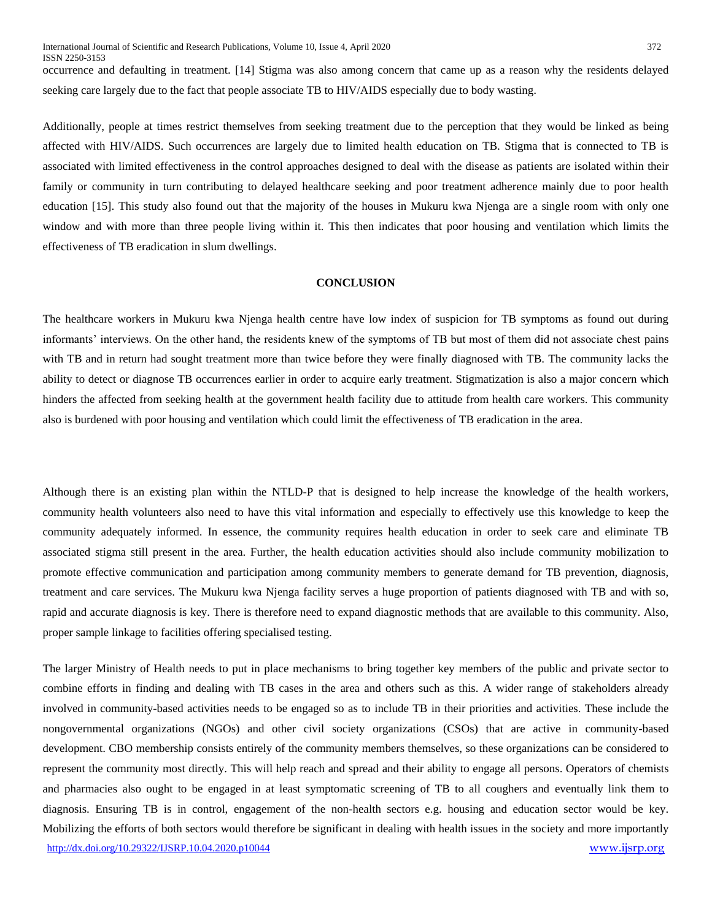occurrence and defaulting in treatment. [14] Stigma was also among concern that came up as a reason why the residents delayed seeking care largely due to the fact that people associate TB to HIV/AIDS especially due to body wasting.

Additionally, people at times restrict themselves from seeking treatment due to the perception that they would be linked as being affected with HIV/AIDS. Such occurrences are largely due to limited health education on TB. Stigma that is connected to TB is associated with limited effectiveness in the control approaches designed to deal with the disease as patients are isolated within their family or community in turn contributing to delayed healthcare seeking and poor treatment adherence mainly due to poor health education [15]. This study also found out that the majority of the houses in Mukuru kwa Njenga are a single room with only one window and with more than three people living within it. This then indicates that poor housing and ventilation which limits the effectiveness of TB eradication in slum dwellings.

## **CONCLUSION**

The healthcare workers in Mukuru kwa Njenga health centre have low index of suspicion for TB symptoms as found out during informants' interviews. On the other hand, the residents knew of the symptoms of TB but most of them did not associate chest pains with TB and in return had sought treatment more than twice before they were finally diagnosed with TB. The community lacks the ability to detect or diagnose TB occurrences earlier in order to acquire early treatment. Stigmatization is also a major concern which hinders the affected from seeking health at the government health facility due to attitude from health care workers. This community also is burdened with poor housing and ventilation which could limit the effectiveness of TB eradication in the area.

Although there is an existing plan within the NTLD-P that is designed to help increase the knowledge of the health workers, community health volunteers also need to have this vital information and especially to effectively use this knowledge to keep the community adequately informed. In essence, the community requires health education in order to seek care and eliminate TB associated stigma still present in the area. Further, the health education activities should also include community mobilization to promote effective communication and participation among community members to generate demand for TB prevention, diagnosis, treatment and care services. The Mukuru kwa Njenga facility serves a huge proportion of patients diagnosed with TB and with so, rapid and accurate diagnosis is key. There is therefore need to expand diagnostic methods that are available to this community. Also, proper sample linkage to facilities offering specialised testing.

<http://dx.doi.org/10.29322/IJSRP.10.04.2020.p10044> [www.ijsrp.org](http://ijsrp.org/) The larger Ministry of Health needs to put in place mechanisms to bring together key members of the public and private sector to combine efforts in finding and dealing with TB cases in the area and others such as this. A wider range of stakeholders already involved in community-based activities needs to be engaged so as to include TB in their priorities and activities. These include the nongovernmental organizations (NGOs) and other civil society organizations (CSOs) that are active in community-based development. CBO membership consists entirely of the community members themselves, so these organizations can be considered to represent the community most directly. This will help reach and spread and their ability to engage all persons. Operators of chemists and pharmacies also ought to be engaged in at least symptomatic screening of TB to all coughers and eventually link them to diagnosis. Ensuring TB is in control, engagement of the non-health sectors e.g. housing and education sector would be key. Mobilizing the efforts of both sectors would therefore be significant in dealing with health issues in the society and more importantly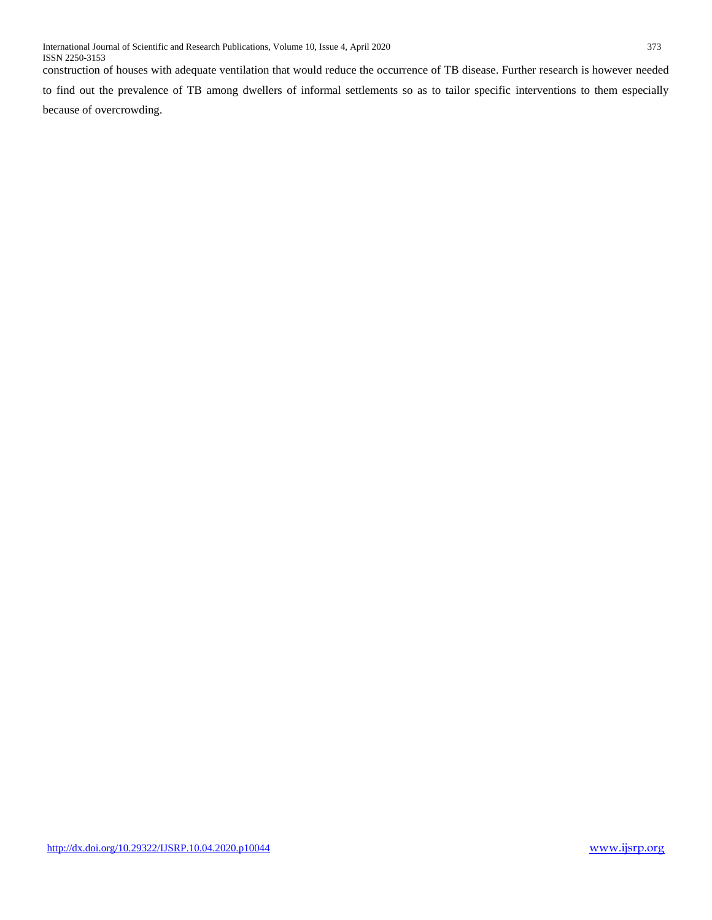construction of houses with adequate ventilation that would reduce the occurrence of TB disease. Further research is however needed to find out the prevalence of TB among dwellers of informal settlements so as to tailor specific interventions to them especially because of overcrowding.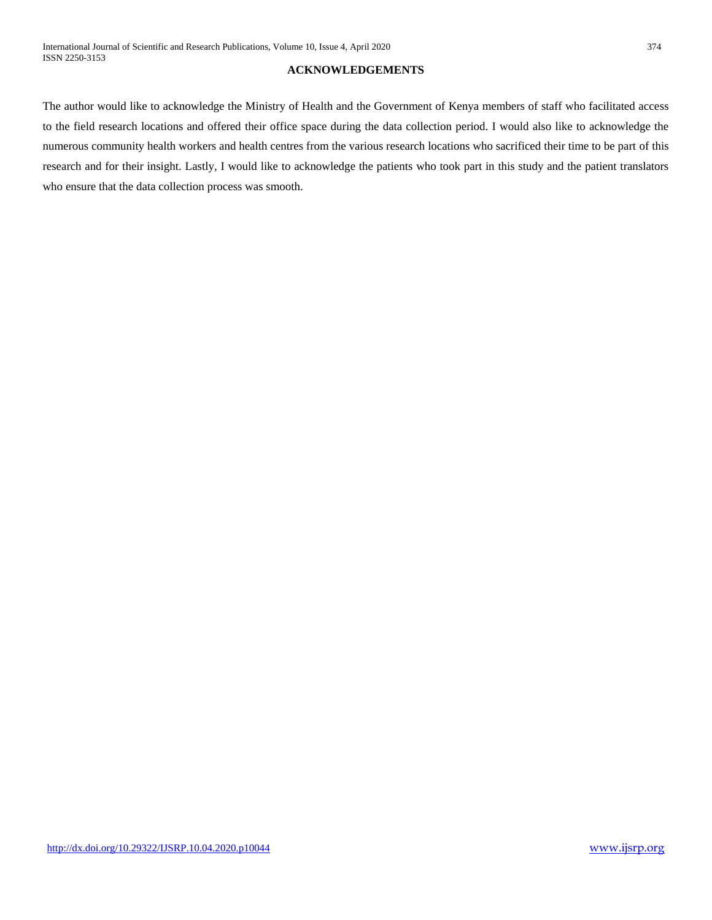## **ACKNOWLEDGEMENTS**

The author would like to acknowledge the Ministry of Health and the Government of Kenya members of staff who facilitated access to the field research locations and offered their office space during the data collection period. I would also like to acknowledge the numerous community health workers and health centres from the various research locations who sacrificed their time to be part of this research and for their insight. Lastly, I would like to acknowledge the patients who took part in this study and the patient translators who ensure that the data collection process was smooth.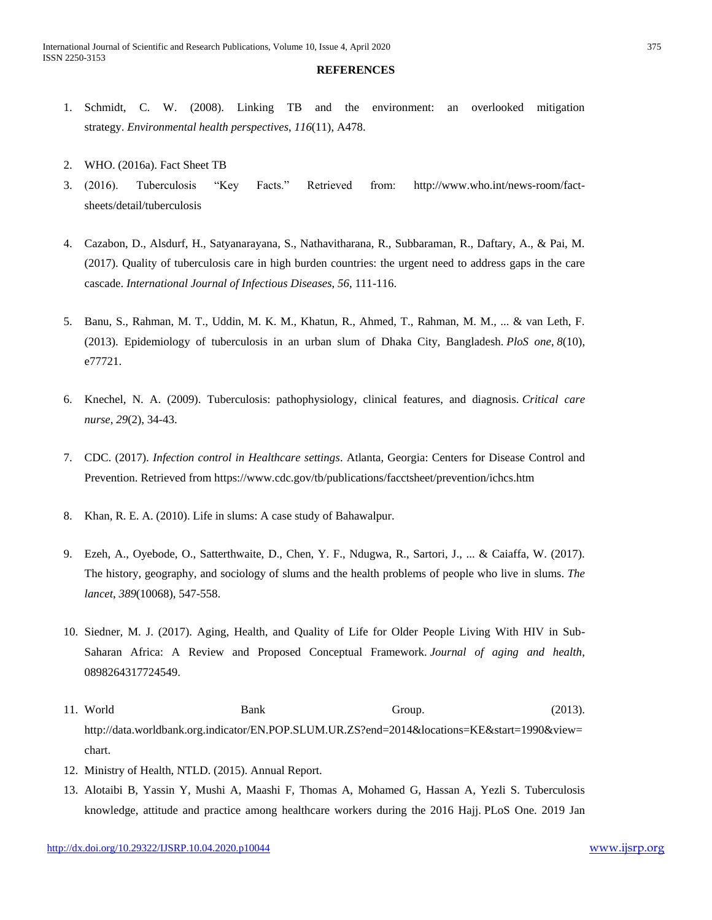#### **REFERENCES**

- 1. Schmidt, C. W. (2008). Linking TB and the environment: an overlooked mitigation strategy. *Environmental health perspectives*, *116*(11), A478.
- 2. WHO. (2016a). Fact Sheet TB
- 3. (2016). Tuberculosis "Key Facts." Retrieved from: [http://www.who.int/news-room/fact](http://www.who.int/news-room/fact-sheets/detail/tuberculosis)[sheets/detail/tuberculosis](http://www.who.int/news-room/fact-sheets/detail/tuberculosis)
- 4. Cazabon, D., Alsdurf, H., Satyanarayana, S., Nathavitharana, R., Subbaraman, R., Daftary, A., & Pai, M. (2017). Quality of tuberculosis care in high burden countries: the urgent need to address gaps in the care cascade. *International Journal of Infectious Diseases*, *56*, 111-116.
- 5. Banu, S., Rahman, M. T., Uddin, M. K. M., Khatun, R., Ahmed, T., Rahman, M. M., ... & van Leth, F. (2013). Epidemiology of tuberculosis in an urban slum of Dhaka City, Bangladesh. *PloS one*, *8*(10), e77721.
- 6. Knechel, N. A. (2009). Tuberculosis: pathophysiology, clinical features, and diagnosis. *Critical care nurse*, *29*(2), 34-43.
- 7. CDC. (2017). *Infection control in Healthcare settings*. Atlanta, Georgia: Centers for Disease Control and Prevention. Retrieved from<https://www.cdc.gov/tb/publications/facctsheet/prevention/ichcs.htm>
- 8. Khan, R. E. A. (2010). Life in slums: A case study of Bahawalpur.
- 9. Ezeh, A., Oyebode, O., Satterthwaite, D., Chen, Y. F., Ndugwa, R., Sartori, J., ... & Caiaffa, W. (2017). The history, geography, and sociology of slums and the health problems of people who live in slums. *The lancet*, *389*(10068), 547-558.
- 10. Siedner, M. J. (2017). Aging, Health, and Quality of Life for Older People Living With HIV in Sub-Saharan Africa: A Review and Proposed Conceptual Framework. *Journal of aging and health*, 0898264317724549.
- 11. World Bank Bank Group. (2013). http://data.worldbank.org.indicator/EN.POP.SLUM.UR.ZS?end=2014&locations=KE&start=1990&view= chart.
- 12. Ministry of Health, NTLD. (2015). Annual Report.
- 13. Alotaibi B, Yassin Y, Mushi A, Maashi F, Thomas A, Mohamed G, Hassan A, Yezli S. Tuberculosis knowledge, attitude and practice among healthcare workers during the 2016 Hajj. PLoS One. 2019 Jan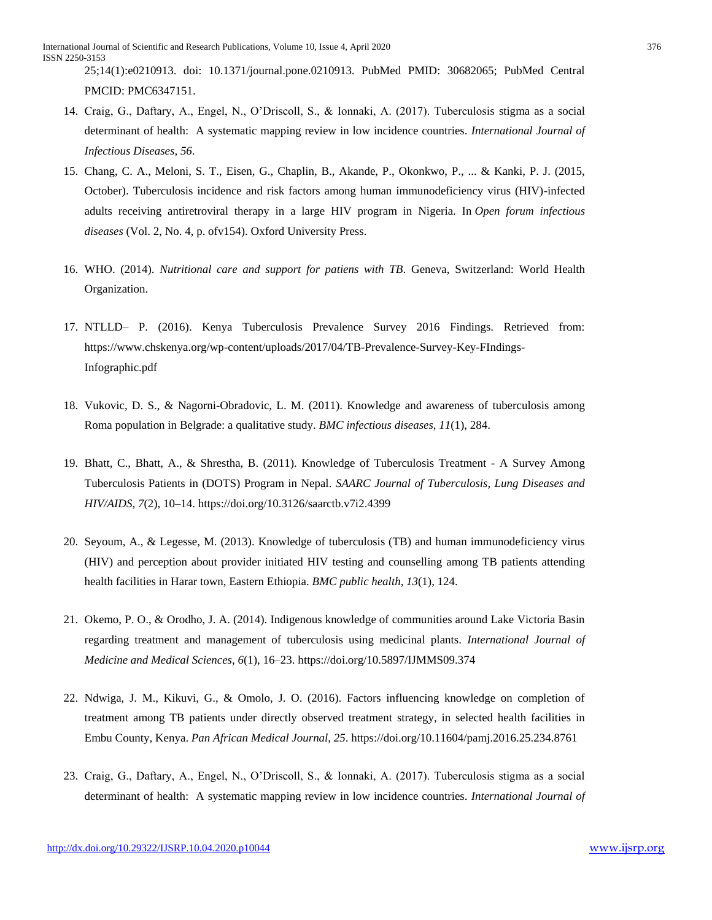25;14(1):e0210913. doi: 10.1371/journal.pone.0210913. PubMed PMID: 30682065; PubMed Central PMCID: PMC6347151.

- 14. Craig, G., Daftary, A., Engel, N., O'Driscoll, S., & Ionnaki, A. (2017). Tuberculosis stigma as a social determinant of health: A systematic mapping review in low incidence countries. *International Journal of Infectious Diseases*, *56*.
- 15. Chang, C. A., Meloni, S. T., Eisen, G., Chaplin, B., Akande, P., Okonkwo, P., ... & Kanki, P. J. (2015, October). Tuberculosis incidence and risk factors among human immunodeficiency virus (HIV)-infected adults receiving antiretroviral therapy in a large HIV program in Nigeria. In *Open forum infectious diseases* (Vol. 2, No. 4, p. ofv154). Oxford University Press.
- 16. WHO. (2014). *Nutritional care and support for patiens with TB*. Geneva, Switzerland: World Health Organization.
- 17. NTLLD– P. (2016). Kenya Tuberculosis Prevalence Survey 2016 Findings. Retrieved from: [https://www.chskenya.org/wp-content/uploads/2017/04/TB-Prevalence-Survey-Key-FIndings-](https://www.chskenya.org/wp-content/uploads/2017/04/TB-Prevalence-Survey-Key-FIndings-Infographic.pdf)[Infographic.pdf](https://www.chskenya.org/wp-content/uploads/2017/04/TB-Prevalence-Survey-Key-FIndings-Infographic.pdf)
- 18. Vukovic, D. S., & Nagorni-Obradovic, L. M. (2011). Knowledge and awareness of tuberculosis among Roma population in Belgrade: a qualitative study. *BMC infectious diseases*, *11*(1), 284.
- 19. Bhatt, C., Bhatt, A., & Shrestha, B. (2011). Knowledge of Tuberculosis Treatment A Survey Among Tuberculosis Patients in (DOTS) Program in Nepal. *SAARC Journal of Tuberculosis, Lung Diseases and HIV/AIDS*, *7*(2), 10–14. https://doi.org/10.3126/saarctb.v7i2.4399
- 20. Seyoum, A., & Legesse, M. (2013). Knowledge of tuberculosis (TB) and human immunodeficiency virus (HIV) and perception about provider initiated HIV testing and counselling among TB patients attending health facilities in Harar town, Eastern Ethiopia. *BMC public health*, *13*(1), 124.
- 21. Okemo, P. O., & Orodho, J. A. (2014). Indigenous knowledge of communities around Lake Victoria Basin regarding treatment and management of tuberculosis using medicinal plants. *International Journal of Medicine and Medical Sciences*, *6*(1), 16–23. https://doi.org/10.5897/IJMMS09.374
- 22. Ndwiga, J. M., Kikuvi, G., & Omolo, J. O. (2016). Factors influencing knowledge on completion of treatment among TB patients under directly observed treatment strategy, in selected health facilities in Embu County, Kenya. *Pan African Medical Journal*, *25*. https://doi.org/10.11604/pamj.2016.25.234.8761
- 23. Craig, G., Daftary, A., Engel, N., O'Driscoll, S., & Ionnaki, A. (2017). Tuberculosis stigma as a social determinant of health: A systematic mapping review in low incidence countries. *International Journal of*